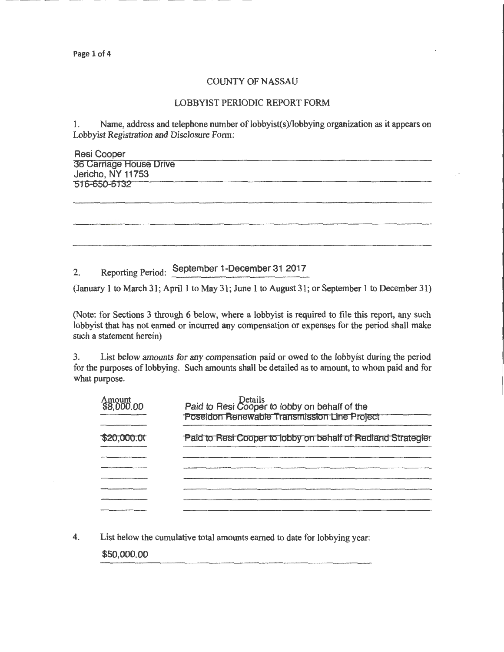Page 1 of 4

## COUNTY OF NASSAU

## LOBBYIST PERIODIC REPORT FORM

1. Name, address and telephone number of lobbyist(s)/lobbying organization as it appears on Lobbyist Registration and Disclosure Form:

| <b>Resi Cooper</b>                |  |  |
|-----------------------------------|--|--|
| 36 Carriage House Drive           |  |  |
| Jericho, NY 11753<br>516-650-6132 |  |  |
|                                   |  |  |
|                                   |  |  |
|                                   |  |  |
|                                   |  |  |
|                                   |  |  |

/

2. Reporting Period: September 1-December 31 2017

(January 1 to March 31; April 1 to May 31; June 1 to August 31; or September 1 to December 31)

(Note: for Sections 3 through 6 below, where a lobbyist is required to file this report, any such lobbyist that has not earned or incurred any compensation or expenses for the period shall make such a statement herein)

3. List below amounts for any compensation paid or owed to the lobbyist during the period for the purposes of lobbying. Such amounts shall be detailed as to amount, to whom paid and for what purpose.

| Amount<br>\$8,000.00 | Details<br>Paid to Resi Cooper to lobby on behalf of the<br>Poseidon Renewable Transmission Line Project |
|----------------------|----------------------------------------------------------------------------------------------------------|
|                      |                                                                                                          |
| \$20,000.00          | Paid to Resi Cooper to lobby on behalf of Redland Strategier                                             |
|                      |                                                                                                          |
|                      |                                                                                                          |
|                      |                                                                                                          |
|                      |                                                                                                          |
|                      |                                                                                                          |
|                      |                                                                                                          |

4. List below the cumulative total amounts earned to date for lobbying year:

\$50,000.00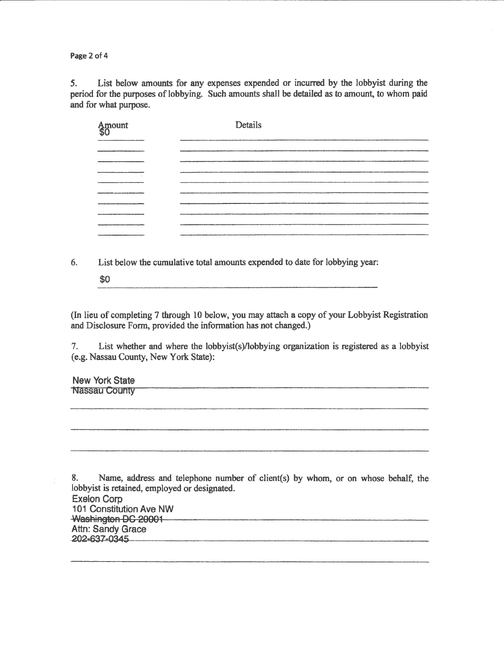Page 2 of 4

*5.* List below amounts for any expenses expended or incurred by the lobbyist during the period for the purposes of lobbying. Such amounts shall be detailed as to amount, to whom paid and for what purpose.

| Amount<br>\$0 | Details |
|---------------|---------|
|               |         |
|               |         |
|               |         |
|               |         |
|               |         |
|               |         |
|               |         |
|               |         |

6. List below the cumulative total amounts expended to date for lobbying year:

\$0

(In lieu of completing 7 through 10 below, you may attach a copy of your Lobbyist Registration and Disclosure Fonn, provided the information has not changed.)

7. List whether and where the lobbyist(s)/lobbying organization is registered as a lobbyist (e.g. Nassau County, New York State):

New York State Nassau CountY

8. Name, address and telephone number of client(s) by whom, or on whose behalf, the lobbyist is retained, employed or designated. Exelon Corp 101 Constitution Ave NW \~.,fashington DC 20001 Attn: Sandy Grace 202-637-0345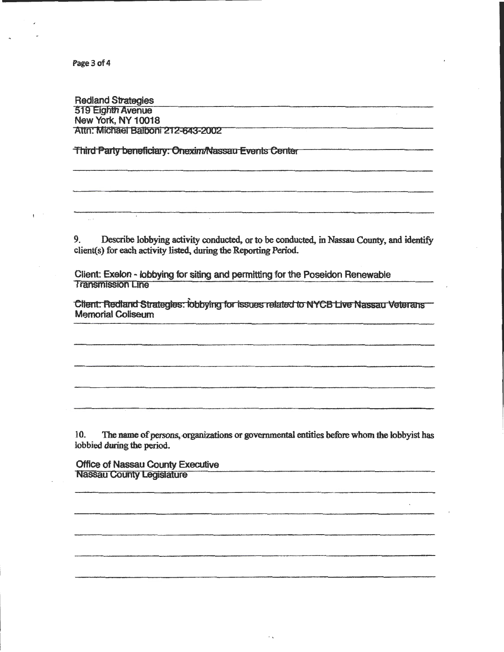Page 3 of 4

**Redland Strategies** 519 Eighth Avenue New York, NY 10018 Attn: Michael Balboni 212-643-2002

Third Party beneficiary: Onexim/Nassau Events Center

9. Describe lobbying activity conducted, or to be conducted, in Nassau County, and identify client(s) for each activity listed, during the Reporting Period.

Client: Exelon - lobbying for siting and permitting for the Poseidon Renewable **Transmission Line** 

Client: Redland Strategies: lobbying for issues related to NYCB Live Nassau Veterans **Memorial Coliseum** 

10. The name of persons, organizations or governmental entities before whom the lobbyist has lobbied during the period.

Office of Nassau County Executive Nassau County Legislature